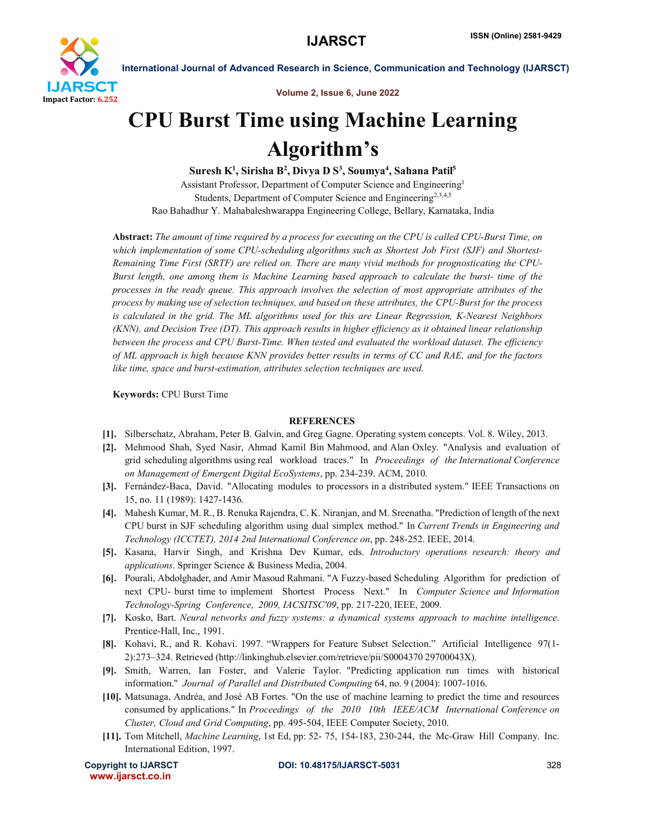

International Journal of Advanced Research in Science, Communication and Technology (IJARSCT)

Volume 2, Issue 6, June 2022

## CPU Burst Time using Machine Learning Algorithm's

Suresh K<sup>1</sup>, Sirisha B<sup>2</sup>, Divya D S<sup>3</sup>, Soumya<sup>4</sup>, Sahana Patil<sup>5</sup> Assistant Professor, Department of Computer Science and Engineering1 Students, Department of Computer Science and Engineering<sup>2,3,4,5</sup> Rao Bahadhur Y. Mahabaleshwarappa Engineering College, Bellary, Karnataka, India

Abstract: *The amount of time required by a process for executing on the CPU is called CPU-Burst Time, on which implementation of some CPU-scheduling algorithms such as Shortest Job First (SJF) and Shortest-Remaining Time First (SRTF) are relied on. There are many vivid methods for prognosticating the CPU-Burst length, one among them is Machine Learning based approach to calculate the burst- time of the processes in the ready queue. This approach involves the selection of most appropriate attributes of the process by making use of selection techniques, and based on these attributes, the CPU-Burst for the process is calculated in the grid. The ML algorithms used for this are Linear Regression, K-Nearest Neighbors (KNN), and Decision Tree (DT). This approach results in higher efficiency as it obtained linear relationship between the process and CPU Burst-Time. When tested and evaluated the workload dataset. The efficiency of ML approach is high because KNN provides better results in terms of CC and RAE, and for the factors like time, space and burst-estimation, attributes selection techniques are used.*

Keywords: CPU Burst Time

## REFERENCES

- [1]. Silberschatz, Abraham, Peter B. Galvin, and Greg Gagne. Operating system concepts. Vol. 8. Wiley, 2013.
- [2]. Mehmood Shah, Syed Nasir, Ahmad Kamil Bin Mahmood, and Alan Oxley. "Analysis and evaluation of grid scheduling algorithms using real workload traces." In *Proceedings of the International Conference on Management of Emergent Digital EcoSystems*, pp. 234-239. ACM, 2010.
- [3]. Fernández-Baca, David. "Allocating modules to processors in a distributed system." IEEE Transactions on 15, no. 11 (1989): 1427-1436.
- [4]. Mahesh Kumar, M. R., B. Renuka Rajendra, C. K. Niranjan, and M. Sreenatha. "Prediction of length of the next CPU burst in SJF scheduling algorithm using dual simplex method." In *Current Trends in Engineering and Technology (ICCTET), 2014 2nd International Conference on*, pp. 248-252. IEEE, 2014.
- [5]. Kasana, Harvir Singh, and Krishna Dev Kumar, eds. *Introductory operations research: theory and applications*. Springer Science & Business Media, 2004.
- [6]. Pourali, Abdolghader, and Amir Masoud Rahmani. "A Fuzzy-based Scheduling Algorithm for prediction of next CPU- burst time to implement Shortest Process Next." In *Computer Science and Information Technology-Spring Conference, 2009, IACSITSC'09*, pp. 217-220, IEEE, 2009.
- [7]. Kosko, Bart. *Neural networks and fuzzy systems: a dynamical systems approach to machine intelligence*. Prentice-Hall, Inc., 1991.
- [8]. Kohavi, R., and R. Kohavi. 1997. "Wrappers for Feature Subset Selection." Artificial Intelligence 97(1- 2):273–324. Retrieved (http://linkinghub.elsevier.com/retrieve/pii/S0004370 29700043X).
- [9]. Smith, Warren, Ian Foster, and Valerie Taylor. "Predicting application run times with historical information." *Journal of Parallel and Distributed Computing* 64, no. 9 (2004): 1007-1016.
- [10]. Matsunaga, Andréa, and José AB Fortes. "On the use of machine learning to predict the time and resources consumed by applications." In *Proceedings of the 2010 10th IEEE/ACM International Conference on Cluster, Cloud and Grid Computing*, pp. 495-504, IEEE Computer Society, 2010.
- [11]. Tom Mitchell, *Machine Learning*, 1st Ed, pp: 52- 75, 154-183, 230-244, the Mc-Graw Hill Company. Inc. International Edition, 1997.

www.ijarsct.co.in